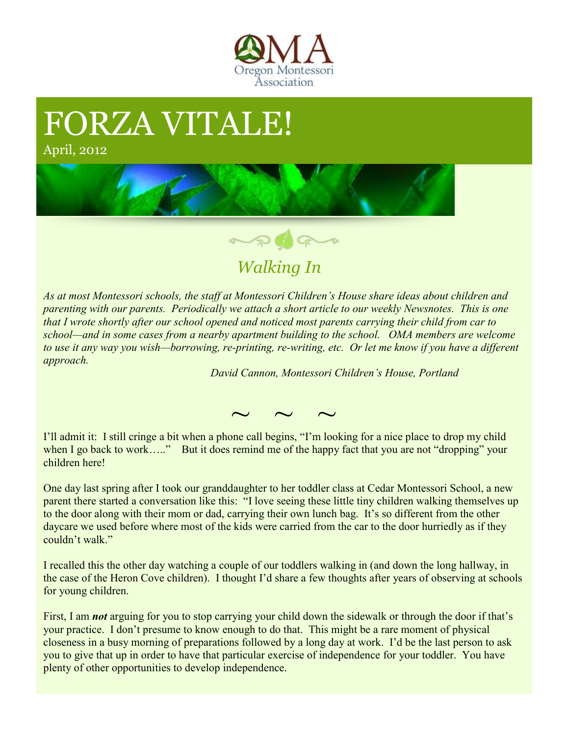

## FORZA VITALE!

April, 2012





 *Walking In*

*As at most Montessori schools, the staff at Montessori Children's House share ideas about children and parenting with our parents. Periodically we attach a short article to our weekly Newsnotes. This is one that I wrote shortly after our school opened and noticed most parents carrying their child from car to school—and in some cases from a nearby apartment building to the school. OMA members are welcome to use it any way you wish—borrowing, re-printing, re-writing, etc. Or let me know if you have a different approach.*

*David Cannon, Montessori Children's House, Portland* 

 $\sim$   $\sim$   $\sim$ 

I'll admit it: I still cringe a bit when a phone call begins, "I'm looking for a nice place to drop my child when I go back to work….." But it does remind me of the happy fact that you are not "dropping" your children here!

One day last spring after I took our granddaughter to her toddler class at Cedar Montessori School, a new parent there started a conversation like this: "I love seeing these little tiny children walking themselves up to the door along with their mom or dad, carrying their own lunch bag. It's so different from the other daycare we used before where most of the kids were carried from the car to the door hurriedly as if they couldn't walk."

I recalled this the other day watching a couple of our toddlers walking in (and down the long hallway, in the case of the Heron Cove children). I thought I'd share a few thoughts after years of observing at schools for young children.

First, I am *not* arguing for you to stop carrying your child down the sidewalk or through the door if that's your practice. I don't presume to know enough to do that. This might be a rare moment of physical closeness in a busy morning of preparations followed by a long day at work. I'd be the last person to ask you to give that up in order to have that particular exercise of independence for your toddler. You have plenty of other opportunities to develop independence.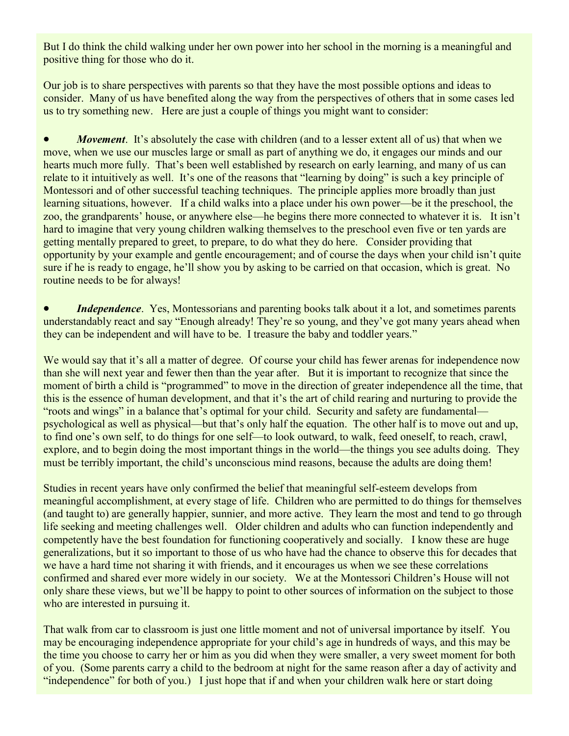But I do think the child walking under her own power into her school in the morning is a meaningful and positive thing for those who do it.

Our job is to share perspectives with parents so that they have the most possible options and ideas to consider. Many of us have benefited along the way from the perspectives of others that in some cases led us to try something new. Here are just a couple of things you might want to consider:

*Movement*. It's absolutely the case with children (and to a lesser extent all of us) that when we move, when we use our muscles large or small as part of anything we do, it engages our minds and our hearts much more fully. That's been well established by research on early learning, and many of us can relate to it intuitively as well. It's one of the reasons that "learning by doing" is such a key principle of Montessori and of other successful teaching techniques. The principle applies more broadly than just learning situations, however. If a child walks into a place under his own power—be it the preschool, the zoo, the grandparents' house, or anywhere else—he begins there more connected to whatever it is. It isn't hard to imagine that very young children walking themselves to the preschool even five or ten yards are getting mentally prepared to greet, to prepare, to do what they do here. Consider providing that opportunity by your example and gentle encouragement; and of course the days when your child isn't quite sure if he is ready to engage, he'll show you by asking to be carried on that occasion, which is great. No routine needs to be for always!

*Independence*. Yes, Montessorians and parenting books talk about it a lot, and sometimes parents understandably react and say "Enough already! They're so young, and they've got many years ahead when they can be independent and will have to be. I treasure the baby and toddler years."

We would say that it's all a matter of degree. Of course your child has fewer arenas for independence now than she will next year and fewer then than the year after. But it is important to recognize that since the moment of birth a child is "programmed" to move in the direction of greater independence all the time, that this is the essence of human development, and that it's the art of child rearing and nurturing to provide the "roots and wings" in a balance that's optimal for your child. Security and safety are fundamental psychological as well as physical—but that's only half the equation. The other half is to move out and up, to find one's own self, to do things for one self—to look outward, to walk, feed oneself, to reach, crawl, explore, and to begin doing the most important things in the world—the things you see adults doing. They must be terribly important, the child's unconscious mind reasons, because the adults are doing them!

Studies in recent years have only confirmed the belief that meaningful self-esteem develops from meaningful accomplishment, at every stage of life. Children who are permitted to do things for themselves (and taught to) are generally happier, sunnier, and more active. They learn the most and tend to go through life seeking and meeting challenges well. Older children and adults who can function independently and competently have the best foundation for functioning cooperatively and socially. I know these are huge generalizations, but it so important to those of us who have had the chance to observe this for decades that we have a hard time not sharing it with friends, and it encourages us when we see these correlations confirmed and shared ever more widely in our society. We at the Montessori Children's House will not only share these views, but we'll be happy to point to other sources of information on the subject to those who are interested in pursuing it.

That walk from car to classroom is just one little moment and not of universal importance by itself. You may be encouraging independence appropriate for your child's age in hundreds of ways, and this may be the time you choose to carry her or him as you did when they were smaller, a very sweet moment for both of you. (Some parents carry a child to the bedroom at night for the same reason after a day of activity and "independence" for both of you.) I just hope that if and when your children walk here or start doing